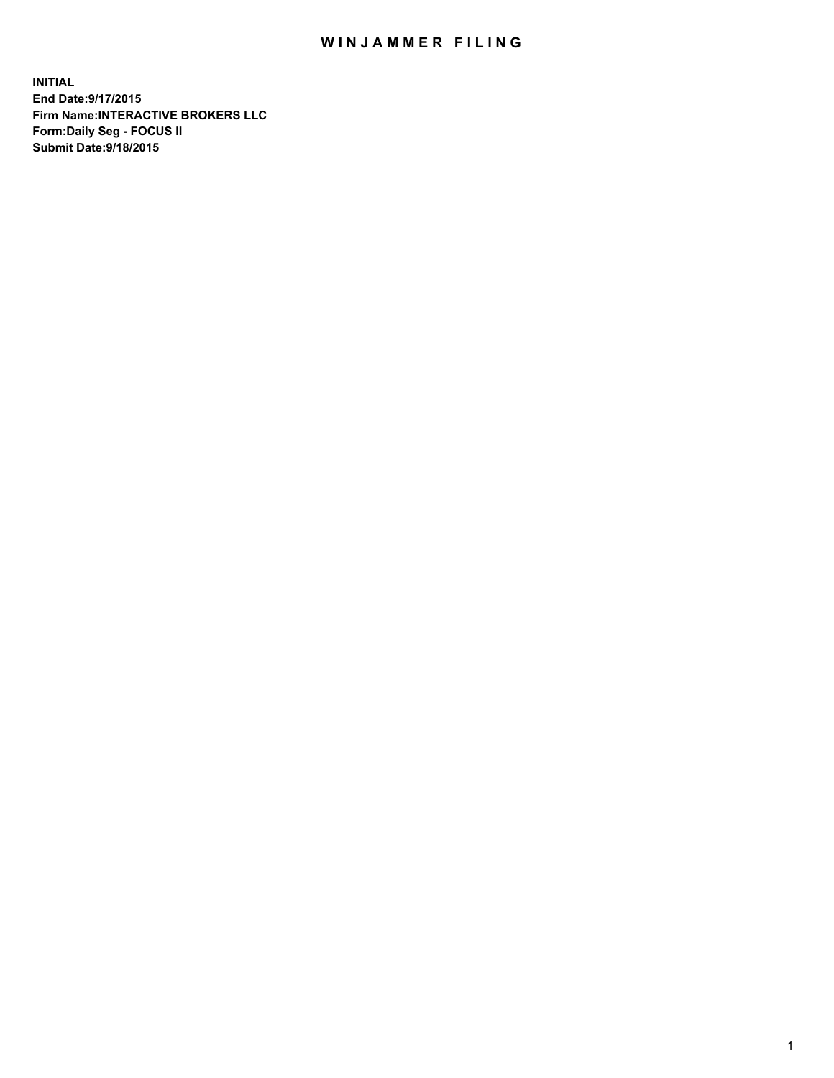## WIN JAMMER FILING

**INITIAL End Date:9/17/2015 Firm Name:INTERACTIVE BROKERS LLC Form:Daily Seg - FOCUS II Submit Date:9/18/2015**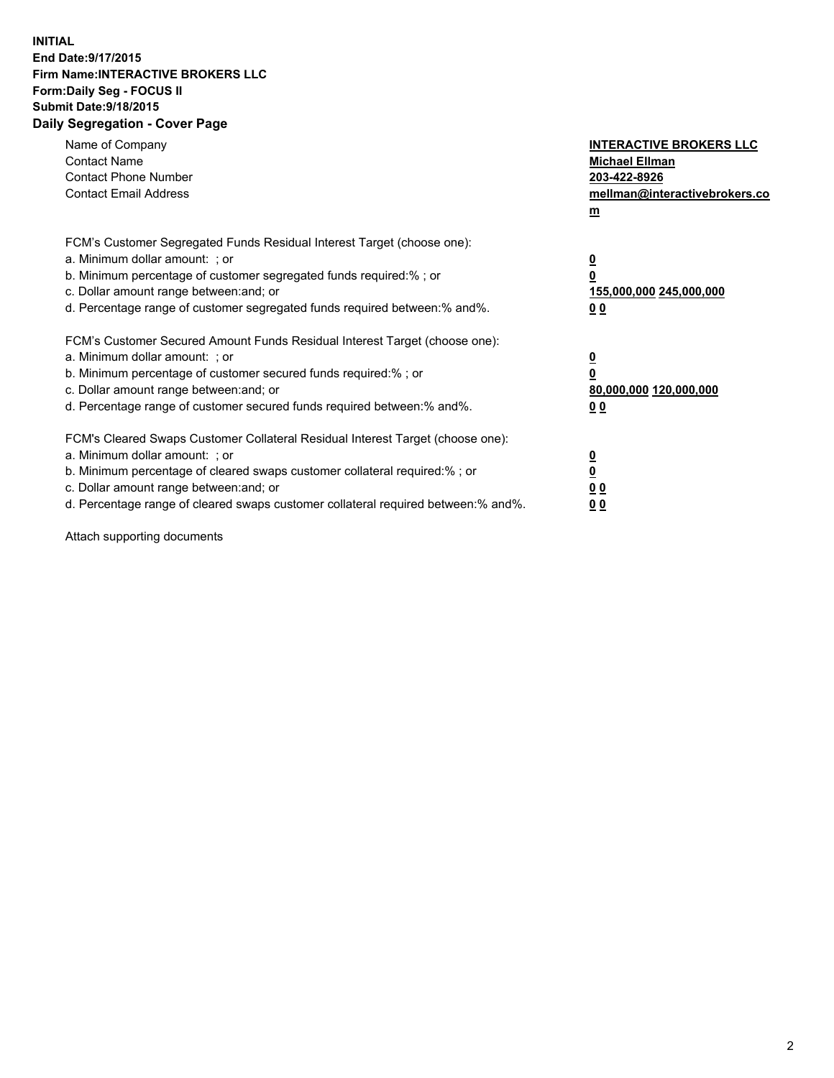## **INITIAL End Date:9/17/2015 Firm Name:INTERACTIVE BROKERS LLC Form:Daily Seg - FOCUS II Submit Date:9/18/2015 Daily Segregation - Cover Page**

| Name of Company<br><b>Contact Name</b><br><b>Contact Phone Number</b><br><b>Contact Email Address</b>                                                                                                                                                                                                                          | <b>INTERACTIVE BROKERS LLC</b><br><b>Michael Ellman</b><br>203-422-8926<br>mellman@interactivebrokers.co<br>$m$ |
|--------------------------------------------------------------------------------------------------------------------------------------------------------------------------------------------------------------------------------------------------------------------------------------------------------------------------------|-----------------------------------------------------------------------------------------------------------------|
| FCM's Customer Segregated Funds Residual Interest Target (choose one):<br>a. Minimum dollar amount: ; or<br>b. Minimum percentage of customer segregated funds required:% ; or<br>c. Dollar amount range between: and; or<br>d. Percentage range of customer segregated funds required between:% and%.                         | $\overline{\mathbf{0}}$<br>0<br>155,000,000 245,000,000<br>0 <sub>0</sub>                                       |
| FCM's Customer Secured Amount Funds Residual Interest Target (choose one):<br>a. Minimum dollar amount: ; or<br>b. Minimum percentage of customer secured funds required:%; or<br>c. Dollar amount range between: and; or<br>d. Percentage range of customer secured funds required between: % and %.                          | $\underline{\mathbf{0}}$<br>0<br>80,000,000 120,000,000<br>0 <sub>0</sub>                                       |
| FCM's Cleared Swaps Customer Collateral Residual Interest Target (choose one):<br>a. Minimum dollar amount: ; or<br>b. Minimum percentage of cleared swaps customer collateral required:% ; or<br>c. Dollar amount range between: and; or<br>d. Percentage range of cleared swaps customer collateral required between:% and%. | $\overline{\mathbf{0}}$<br>$\overline{\mathbf{0}}$<br>0 <sub>0</sub><br>0 <sup>0</sup>                          |

Attach supporting documents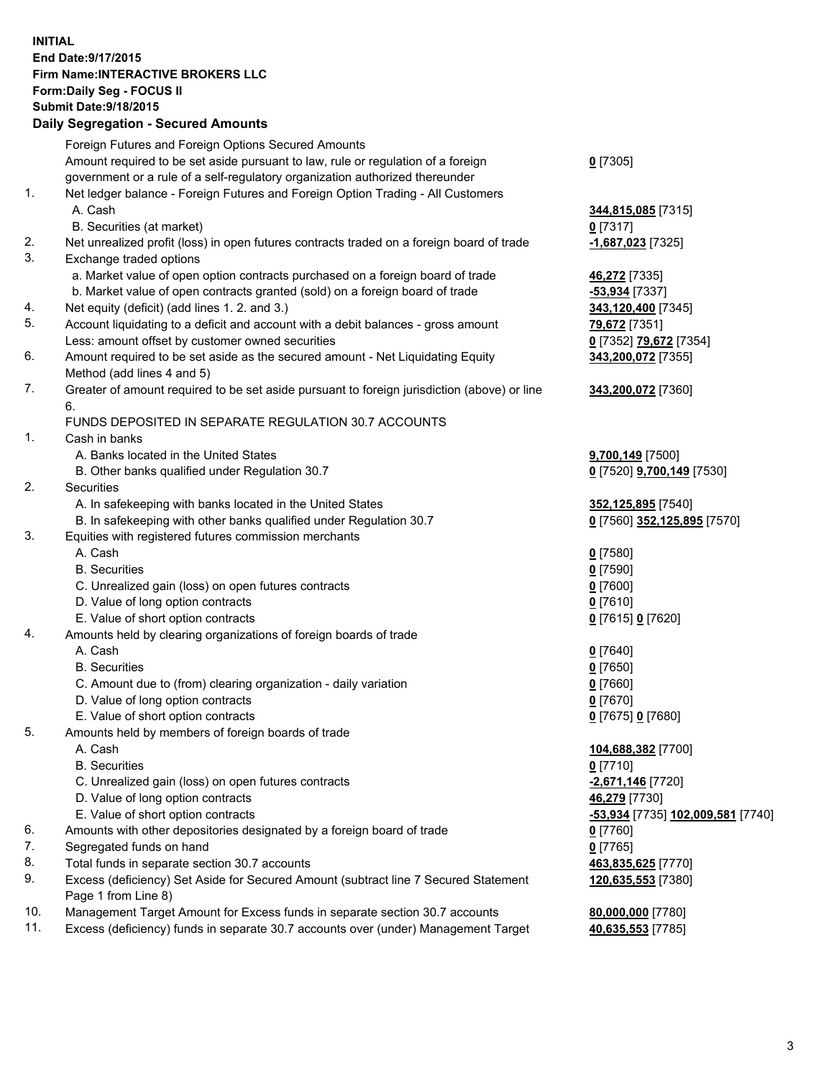## **INITIAL End Date:9/17/2015 Firm Name:INTERACTIVE BROKERS LLC Form:Daily Seg - FOCUS II Submit Date:9/18/2015 Daily Segregation - Secured Amounts**

|                | Daily Jegregation - Jeculed Aniounts                                                                       |                                                |
|----------------|------------------------------------------------------------------------------------------------------------|------------------------------------------------|
|                | Foreign Futures and Foreign Options Secured Amounts                                                        |                                                |
|                | Amount required to be set aside pursuant to law, rule or regulation of a foreign                           | $0$ [7305]                                     |
|                | government or a rule of a self-regulatory organization authorized thereunder                               |                                                |
| 1.             | Net ledger balance - Foreign Futures and Foreign Option Trading - All Customers                            |                                                |
|                | A. Cash                                                                                                    | 344,815,085 [7315]                             |
|                | B. Securities (at market)                                                                                  | $0$ [7317]                                     |
| 2.             | Net unrealized profit (loss) in open futures contracts traded on a foreign board of trade                  | -1,687,023 [7325]                              |
| 3.             | Exchange traded options                                                                                    |                                                |
|                | a. Market value of open option contracts purchased on a foreign board of trade                             | 46,272 [7335]                                  |
|                | b. Market value of open contracts granted (sold) on a foreign board of trade                               | -53,934 [7337]                                 |
| 4.             | Net equity (deficit) (add lines 1.2. and 3.)                                                               | 343,120,400 [7345]                             |
| 5.             | Account liquidating to a deficit and account with a debit balances - gross amount                          | 79,672 [7351]                                  |
|                | Less: amount offset by customer owned securities                                                           | 0 [7352] 79,672 [7354]                         |
| 6.             | Amount required to be set aside as the secured amount - Net Liquidating Equity                             | 343,200,072 [7355]                             |
|                | Method (add lines 4 and 5)                                                                                 |                                                |
| 7.             | Greater of amount required to be set aside pursuant to foreign jurisdiction (above) or line                | 343,200,072 [7360]                             |
|                | 6.                                                                                                         |                                                |
|                | FUNDS DEPOSITED IN SEPARATE REGULATION 30.7 ACCOUNTS                                                       |                                                |
| 1 <sub>1</sub> | Cash in banks                                                                                              |                                                |
|                | A. Banks located in the United States                                                                      | 9,700,149 [7500]                               |
|                | B. Other banks qualified under Regulation 30.7                                                             | 0 [7520] 9,700,149 [7530]                      |
| 2.             | Securities                                                                                                 |                                                |
|                | A. In safekeeping with banks located in the United States                                                  | 352,125,895 [7540]                             |
|                | B. In safekeeping with other banks qualified under Regulation 30.7                                         | 0 [7560] 352,125,895 [7570]                    |
| 3.             | Equities with registered futures commission merchants                                                      |                                                |
|                | A. Cash                                                                                                    | $0$ [7580]                                     |
|                | <b>B.</b> Securities                                                                                       | $0$ [7590]                                     |
|                | C. Unrealized gain (loss) on open futures contracts                                                        | $0$ [7600]                                     |
|                | D. Value of long option contracts                                                                          | $0$ [7610]                                     |
|                | E. Value of short option contracts                                                                         | 0 [7615] 0 [7620]                              |
| 4.             | Amounts held by clearing organizations of foreign boards of trade                                          |                                                |
|                | A. Cash                                                                                                    | $0$ [7640]                                     |
|                | <b>B.</b> Securities                                                                                       | $0$ [7650]                                     |
|                | C. Amount due to (from) clearing organization - daily variation                                            | $0$ [7660]                                     |
|                | D. Value of long option contracts                                                                          | $0$ [7670]                                     |
|                | E. Value of short option contracts                                                                         | 0 [7675] 0 [7680]                              |
| 5.             | Amounts held by members of foreign boards of trade                                                         |                                                |
|                | A. Cash                                                                                                    | 104,688,382 [7700]                             |
|                | <b>B.</b> Securities                                                                                       | $0$ [7710]                                     |
|                | C. Unrealized gain (loss) on open futures contracts                                                        | -2,671,146 <sup>[7720]</sup>                   |
|                | D. Value of long option contracts                                                                          | 46,279 [7730]                                  |
|                | E. Value of short option contracts                                                                         | <mark>-53,934</mark> [7735] 102,009,581 [7740] |
| 6.             | Amounts with other depositories designated by a foreign board of trade                                     | $0$ [7760]                                     |
| 7.             | Segregated funds on hand                                                                                   | $0$ [7765]                                     |
| 8.             | Total funds in separate section 30.7 accounts                                                              | 463,835,625 [7770]                             |
| 9.             | Excess (deficiency) Set Aside for Secured Amount (subtract line 7 Secured Statement<br>Page 1 from Line 8) | 120,635,553 [7380]                             |
| 10.            | Management Target Amount for Excess funds in separate section 30.7 accounts                                | 80,000,000 [7780]                              |
| 11.            | Excess (deficiency) funds in separate 30.7 accounts over (under) Management Target                         | 40,635,553 [7785]                              |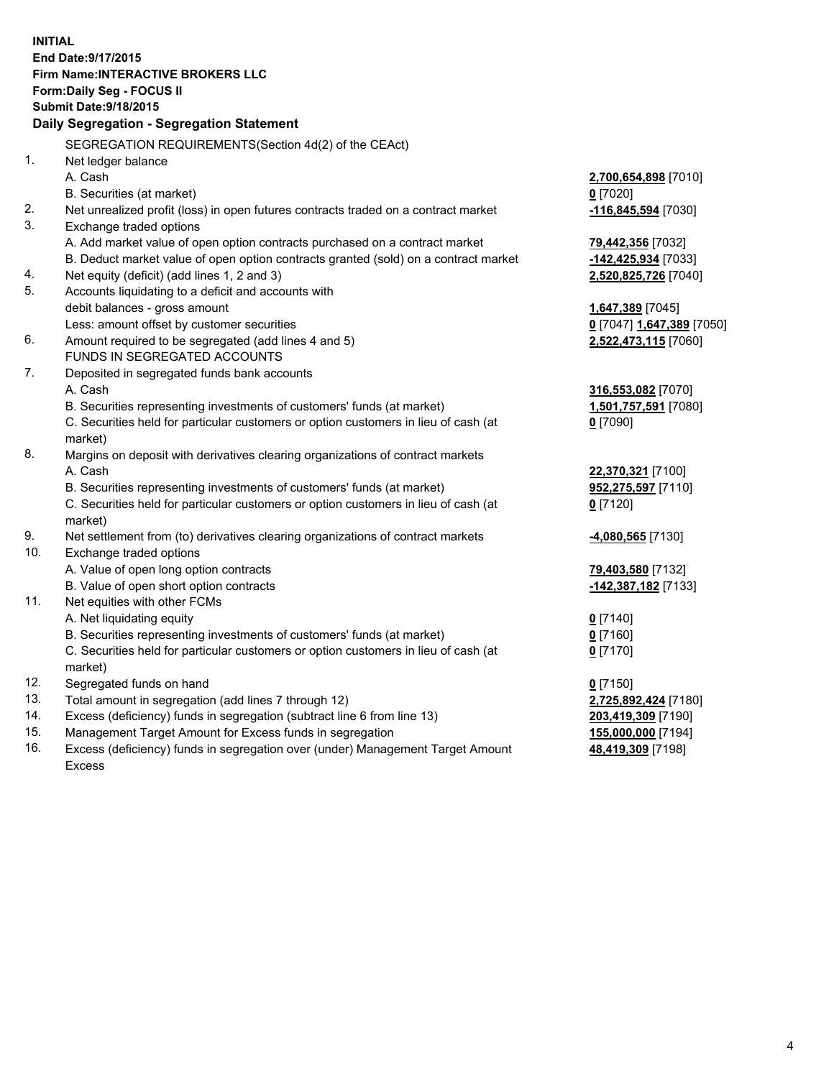**INITIAL End Date:9/17/2015 Firm Name:INTERACTIVE BROKERS LLC Form:Daily Seg - FOCUS II Submit Date:9/18/2015 Daily Segregation - Segregation Statement** SEGREGATION REQUIREMENTS(Section 4d(2) of the CEAct) 1. Net ledger balance A. Cash **2,700,654,898** [7010] B. Securities (at market) **0** [7020] 2. Net unrealized profit (loss) in open futures contracts traded on a contract market **-116,845,594** [7030] 3. Exchange traded options A. Add market value of open option contracts purchased on a contract market **79,442,356** [7032] B. Deduct market value of open option contracts granted (sold) on a contract market **-142,425,934** [7033] 4. Net equity (deficit) (add lines 1, 2 and 3) **2,520,825,726** [7040] 5. Accounts liquidating to a deficit and accounts with debit balances - gross amount **1,647,389** [7045] Less: amount offset by customer securities **0** [7047] **1,647,389** [7050] 6. Amount required to be segregated (add lines 4 and 5) **2,522,473,115** [7060] FUNDS IN SEGREGATED ACCOUNTS 7. Deposited in segregated funds bank accounts A. Cash **316,553,082** [7070] B. Securities representing investments of customers' funds (at market) **1,501,757,591** [7080] C. Securities held for particular customers or option customers in lieu of cash (at market) **0** [7090] 8. Margins on deposit with derivatives clearing organizations of contract markets A. Cash **22,370,321** [7100] B. Securities representing investments of customers' funds (at market) **952,275,597** [7110] C. Securities held for particular customers or option customers in lieu of cash (at market) **0** [7120] 9. Net settlement from (to) derivatives clearing organizations of contract markets **-4,080,565** [7130] 10. Exchange traded options A. Value of open long option contracts **79,403,580** [7132] B. Value of open short option contracts **-142,387,182** [7133] 11. Net equities with other FCMs A. Net liquidating equity **0** [7140] B. Securities representing investments of customers' funds (at market) **0** [7160] C. Securities held for particular customers or option customers in lieu of cash (at market) **0** [7170] 12. Segregated funds on hand **0** [7150] 13. Total amount in segregation (add lines 7 through 12) **2,725,892,424** [7180] 14. Excess (deficiency) funds in segregation (subtract line 6 from line 13) **203,419,309** [7190] 15. Management Target Amount for Excess funds in segregation **155,000,000** [7194] 16. Excess (deficiency) funds in segregation over (under) Management Target Amount **48,419,309** [7198]

Excess